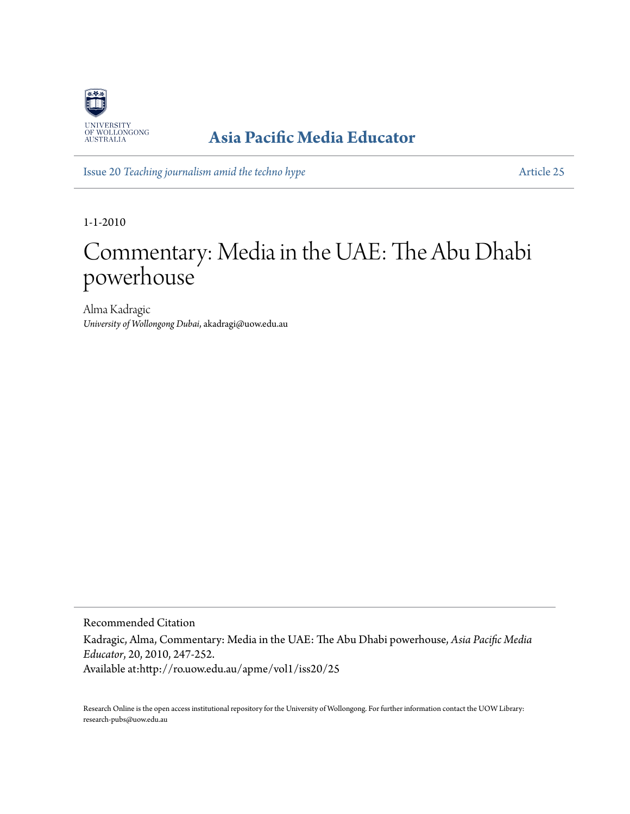

# **[Asia Pacific Media Educator](http://ro.uow.edu.au/apme)**

Issue 20 *[Teaching journalism amid the techno hype](http://ro.uow.edu.au/apme/vol1/iss20)* [Article 25](http://ro.uow.edu.au/apme/vol1/iss20/25)

1-1-2010

# Commentary: Media in the UAE: The Abu Dhabi powerhouse

Alma Kadragic *University of Wollongong Dubai*, akadragi@uow.edu.au

Recommended Citation Kadragic, Alma, Commentary: Media in the UAE: The Abu Dhabi powerhouse, *Asia Pacific Media Educator*, 20, 2010, 247-252. Available at:http://ro.uow.edu.au/apme/vol1/iss20/25

Research Online is the open access institutional repository for the University of Wollongong. For further information contact the UOW Library: research-pubs@uow.edu.au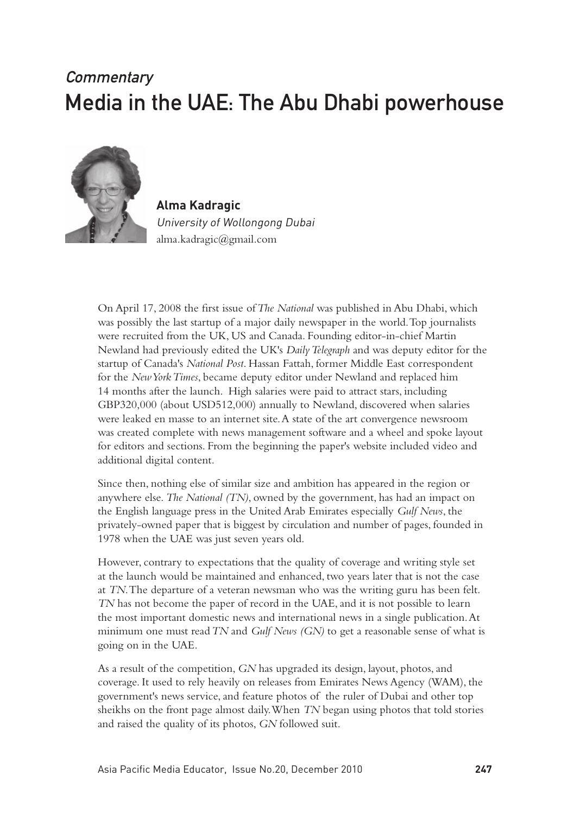# **Commentary** Media in the UAE: The Abu Dhabi powerhouse



**Alma Kadragic** University of Wollongong Dubai alma.kadragic@gmail.com

On April 17, 2008 the first issue of *The National* was published in Abu Dhabi, which was possibly the last startup of a major daily newspaper in the world. Top journalists were recruited from the UK, US and Canada. Founding editor-in-chief Martin Newland had previously edited the UK's *Daily Telegraph* and was deputy editor for the startup of Canada's *National Post*. Hassan Fattah, former Middle East correspondent for the *New York Times*, became deputy editor under Newland and replaced him 14 months after the launch. High salaries were paid to attract stars, including GBP320,000 (about USD512,000) annually to Newland, discovered when salaries were leaked en masse to an internet site. A state of the art convergence newsroom was created complete with news management software and a wheel and spoke layout for editors and sections. From the beginning the paper's website included video and additional digital content.

Since then, nothing else of similar size and ambition has appeared in the region or anywhere else. *The National (TN)*, owned by the government, has had an impact on the English language press in the United Arab Emirates especially *Gulf News*, the privately-owned paper that is biggest by circulation and number of pages, founded in 1978 when the UAE was just seven years old.

However, contrary to expectations that the quality of coverage and writing style set at the launch would be maintained and enhanced, two years later that is not the case at *TN*. The departure of a veteran newsman who was the writing guru has been felt. *TN* has not become the paper of record in the UAE, and it is not possible to learn the most important domestic news and international news in a single publication. At minimum one must read *TN* and *Gulf News (GN)* to get a reasonable sense of what is going on in the UAE.

As a result of the competition, *GN* has upgraded its design, layout, photos, and coverage. It used to rely heavily on releases from Emirates News Agency (WAM), the government's news service, and feature photos of the ruler of Dubai and other top sheikhs on the front page almost daily. When *TN* began using photos that told stories and raised the quality of its photos, *GN* followed suit.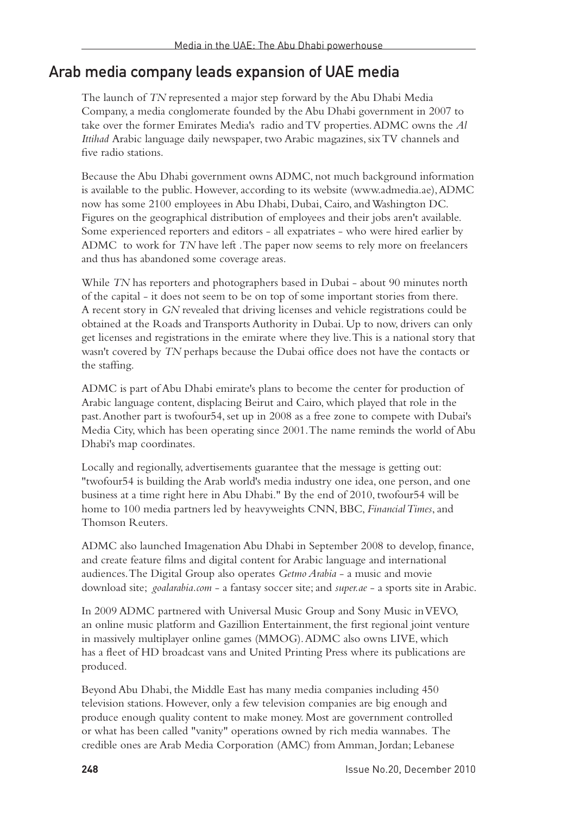## Arab media company leads expansion of UAE media

The launch of *TN* represented a major step forward by the Abu Dhabi Media Company, a media conglomerate founded by the Abu Dhabi government in 2007 to take over the former Emirates Media's radio and TV properties. ADMC owns the *Al Ittihad* Arabic language daily newspaper, two Arabic magazines, six TV channels and five radio stations.

Because the Abu Dhabi government owns ADMC, not much background information is available to the public. However, according to its website (www.admedia.ae), ADMC now has some 2100 employees in Abu Dhabi, Dubai, Cairo, and Washington DC. Figures on the geographical distribution of employees and their jobs aren't available. Some experienced reporters and editors - all expatriates - who were hired earlier by ADMC to work for *TN* have left . The paper now seems to rely more on freelancers and thus has abandoned some coverage areas.

While *TN* has reporters and photographers based in Dubai - about 90 minutes north of the capital - it does not seem to be on top of some important stories from there. A recent story in *GN* revealed that driving licenses and vehicle registrations could be obtained at the Roads and Transports Authority in Dubai. Up to now, drivers can only get licenses and registrations in the emirate where they live. This is a national story that wasn't covered by *TN* perhaps because the Dubai office does not have the contacts or the staffing.

ADMC is part of Abu Dhabi emirate's plans to become the center for production of Arabic language content, displacing Beirut and Cairo, which played that role in the past. Another part is twofour54, set up in 2008 as a free zone to compete with Dubai's Media City, which has been operating since 2001. The name reminds the world of Abu Dhabi's map coordinates.

Locally and regionally, advertisements guarantee that the message is getting out: "twofour54 is building the Arab world's media industry one idea, one person, and one business at a time right here in Abu Dhabi." By the end of 2010, twofour54 will be home to 100 media partners led by heavyweights CNN, BBC, *Financial Times*, and Thomson Reuters.

ADMC also launched Imagenation Abu Dhabi in September 2008 to develop, finance, and create feature films and digital content for Arabic language and international audiences. The Digital Group also operates *Getmo Arabia* - a music and movie download site; *goalarabia.com* - a fantasy soccer site; and *super.ae* - a sports site in Arabic.

In 2009 ADMC partnered with Universal Music Group and Sony Music in VEVO, an online music platform and Gazillion Entertainment, the first regional joint venture in massively multiplayer online games (MMOG). ADMC also owns LIVE, which has a fleet of HD broadcast vans and United Printing Press where its publications are produced.

Beyond Abu Dhabi, the Middle East has many media companies including 450 television stations. However, only a few television companies are big enough and produce enough quality content to make money. Most are government controlled or what has been called "vanity" operations owned by rich media wannabes. The credible ones are Arab Media Corporation (AMC) from Amman, Jordan; Lebanese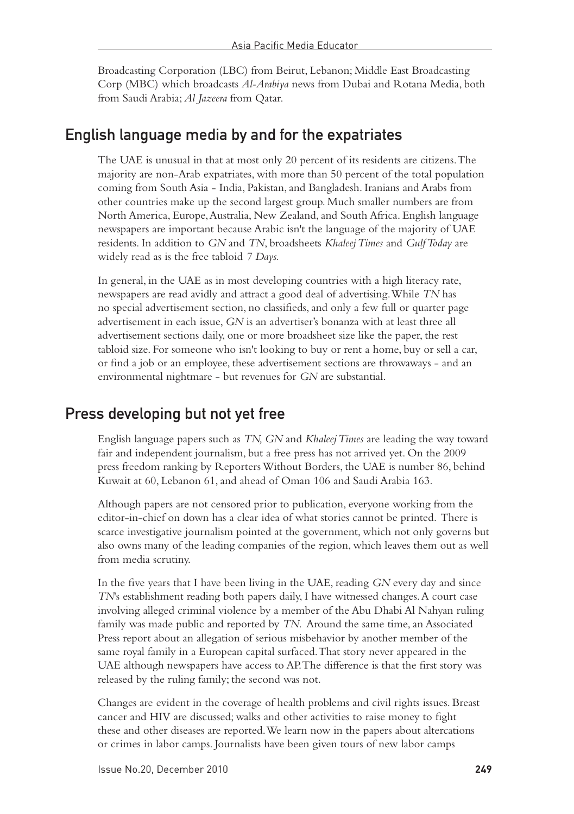Broadcasting Corporation (LBC) from Beirut, Lebanon; Middle East Broadcasting Corp (MBC) which broadcasts *Al-Arabiya* news from Dubai and Rotana Media, both from Saudi Arabia; *Al Jazeera* from Qatar.

#### English language media by and for the expatriates

The UAE is unusual in that at most only 20 percent of its residents are citizens. The majority are non-Arab expatriates, with more than 50 percent of the total population coming from South Asia - India, Pakistan, and Bangladesh. Iranians and Arabs from other countries make up the second largest group. Much smaller numbers are from North America, Europe, Australia, New Zealand, and South Africa. English language newspapers are important because Arabic isn't the language of the majority of UAE residents. In addition to *GN* and *TN*, broadsheets *Khaleej Times* and *Gulf Today* are widely read as is the free tabloid *7 Days.*

In general, in the UAE as in most developing countries with a high literacy rate, newspapers are read avidly and attract a good deal of advertising. While *TN* has no special advertisement section, no classifieds, and only a few full or quarter page advertisement in each issue, *GN* is an advertiser's bonanza with at least three all advertisement sections daily, one or more broadsheet size like the paper, the rest tabloid size. For someone who isn't looking to buy or rent a home, buy or sell a car, or find a job or an employee, these advertisement sections are throwaways - and an environmental nightmare - but revenues for *GN* are substantial.

#### Press developing but not yet free

English language papers such as *TN, GN* and *Khaleej Times* are leading the way toward fair and independent journalism, but a free press has not arrived yet. On the 2009 press freedom ranking by Reporters Without Borders, the UAE is number 86, behind Kuwait at 60, Lebanon 61, and ahead of Oman 106 and Saudi Arabia 163.

Although papers are not censored prior to publication, everyone working from the editor-in-chief on down has a clear idea of what stories cannot be printed. There is scarce investigative journalism pointed at the government, which not only governs but also owns many of the leading companies of the region, which leaves them out as well from media scrutiny.

In the five years that I have been living in the UAE, reading *GN* every day and since *TN*'s establishment reading both papers daily, I have witnessed changes. A court case involving alleged criminal violence by a member of the Abu Dhabi Al Nahyan ruling family was made public and reported by *TN*. Around the same time, an Associated Press report about an allegation of serious misbehavior by another member of the same royal family in a European capital surfaced. That story never appeared in the UAE although newspapers have access to AP. The difference is that the first story was released by the ruling family; the second was not.

Changes are evident in the coverage of health problems and civil rights issues. Breast cancer and HIV are discussed; walks and other activities to raise money to fight these and other diseases are reported. We learn now in the papers about altercations or crimes in labor camps. Journalists have been given tours of new labor camps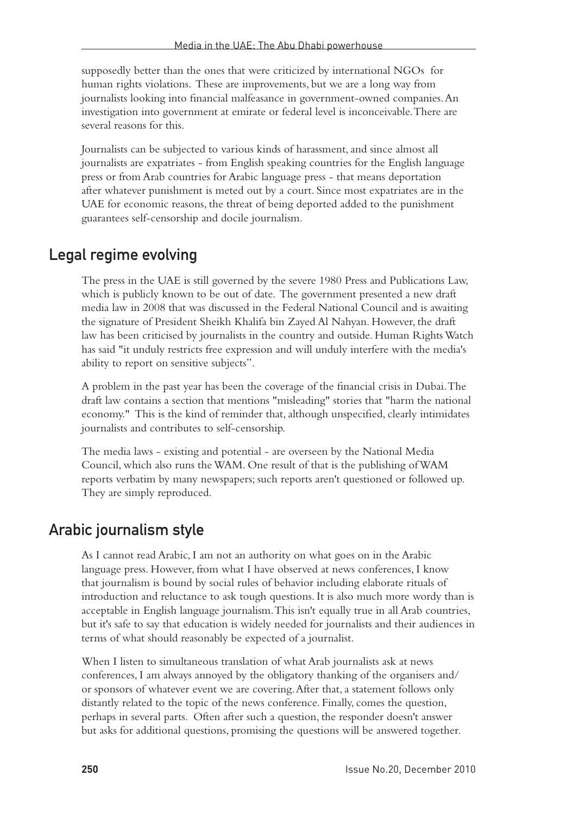supposedly better than the ones that were criticized by international NGOs for human rights violations. These are improvements, but we are a long way from journalists looking into financial malfeasance in government-owned companies. An investigation into government at emirate or federal level is inconceivable. There are several reasons for this.

Journalists can be subjected to various kinds of harassment, and since almost all journalists are expatriates - from English speaking countries for the English language press or from Arab countries for Arabic language press - that means deportation after whatever punishment is meted out by a court. Since most expatriates are in the UAE for economic reasons, the threat of being deported added to the punishment guarantees self-censorship and docile journalism.

## Legal regime evolving

The press in the UAE is still governed by the severe 1980 Press and Publications Law, which is publicly known to be out of date. The government presented a new draft media law in 2008 that was discussed in the Federal National Council and is awaiting the signature of President Sheikh Khalifa bin Zayed Al Nahyan. However, the draft law has been criticised by journalists in the country and outside. Human Rights Watch has said "it unduly restricts free expression and will unduly interfere with the media's ability to report on sensitive subjects".

A problem in the past year has been the coverage of the financial crisis in Dubai. The draft law contains a section that mentions "misleading" stories that "harm the national economy." This is the kind of reminder that, although unspecified, clearly intimidates journalists and contributes to self-censorship.

The media laws - existing and potential - are overseen by the National Media Council, which also runs the WAM. One result of that is the publishing of WAM reports verbatim by many newspapers; such reports aren't questioned or followed up. They are simply reproduced.

## Arabic journalism style

As I cannot read Arabic, I am not an authority on what goes on in the Arabic language press. However, from what I have observed at news conferences, I know that journalism is bound by social rules of behavior including elaborate rituals of introduction and reluctance to ask tough questions. It is also much more wordy than is acceptable in English language journalism. This isn't equally true in all Arab countries, but it's safe to say that education is widely needed for journalists and their audiences in terms of what should reasonably be expected of a journalist.

When I listen to simultaneous translation of what Arab journalists ask at news conferences, I am always annoyed by the obligatory thanking of the organisers and/ or sponsors of whatever event we are covering. After that, a statement follows only distantly related to the topic of the news conference. Finally, comes the question, perhaps in several parts. Often after such a question, the responder doesn't answer but asks for additional questions, promising the questions will be answered together.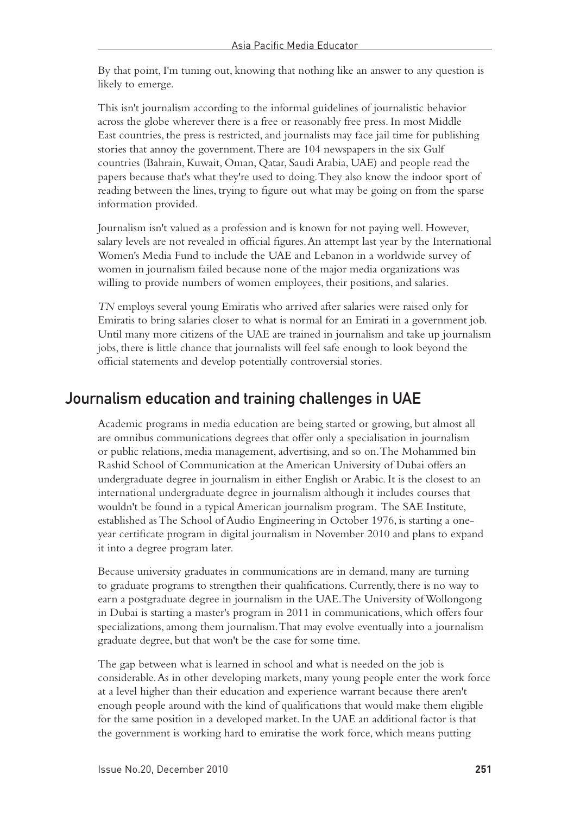By that point, I'm tuning out, knowing that nothing like an answer to any question is likely to emerge.

This isn't journalism according to the informal guidelines of journalistic behavior across the globe wherever there is a free or reasonably free press. In most Middle East countries, the press is restricted, and journalists may face jail time for publishing stories that annoy the government. There are 104 newspapers in the six Gulf countries (Bahrain, Kuwait, Oman, Qatar, Saudi Arabia, UAE) and people read the papers because that's what they're used to doing. They also know the indoor sport of reading between the lines, trying to figure out what may be going on from the sparse information provided.

Journalism isn't valued as a profession and is known for not paying well. However, salary levels are not revealed in official figures. An attempt last year by the International Women's Media Fund to include the UAE and Lebanon in a worldwide survey of women in journalism failed because none of the major media organizations was willing to provide numbers of women employees, their positions, and salaries.

*TN* employs several young Emiratis who arrived after salaries were raised only for Emiratis to bring salaries closer to what is normal for an Emirati in a government job. Until many more citizens of the UAE are trained in journalism and take up journalism jobs, there is little chance that journalists will feel safe enough to look beyond the official statements and develop potentially controversial stories.

#### Journalism education and training challenges in UAE

Academic programs in media education are being started or growing, but almost all are omnibus communications degrees that offer only a specialisation in journalism or public relations, media management, advertising, and so on. The Mohammed bin Rashid School of Communication at the American University of Dubai offers an undergraduate degree in journalism in either English or Arabic. It is the closest to an international undergraduate degree in journalism although it includes courses that wouldn't be found in a typical American journalism program. The SAE Institute, established as The School of Audio Engineering in October 1976, is starting a oneyear certificate program in digital journalism in November 2010 and plans to expand it into a degree program later.

Because university graduates in communications are in demand, many are turning to graduate programs to strengthen their qualifications. Currently, there is no way to earn a postgraduate degree in journalism in the UAE. The University of Wollongong in Dubai is starting a master's program in 2011 in communications, which offers four specializations, among them journalism. That may evolve eventually into a journalism graduate degree, but that won't be the case for some time.

The gap between what is learned in school and what is needed on the job is considerable. As in other developing markets, many young people enter the work force at a level higher than their education and experience warrant because there aren't enough people around with the kind of qualifications that would make them eligible for the same position in a developed market. In the UAE an additional factor is that the government is working hard to emiratise the work force, which means putting